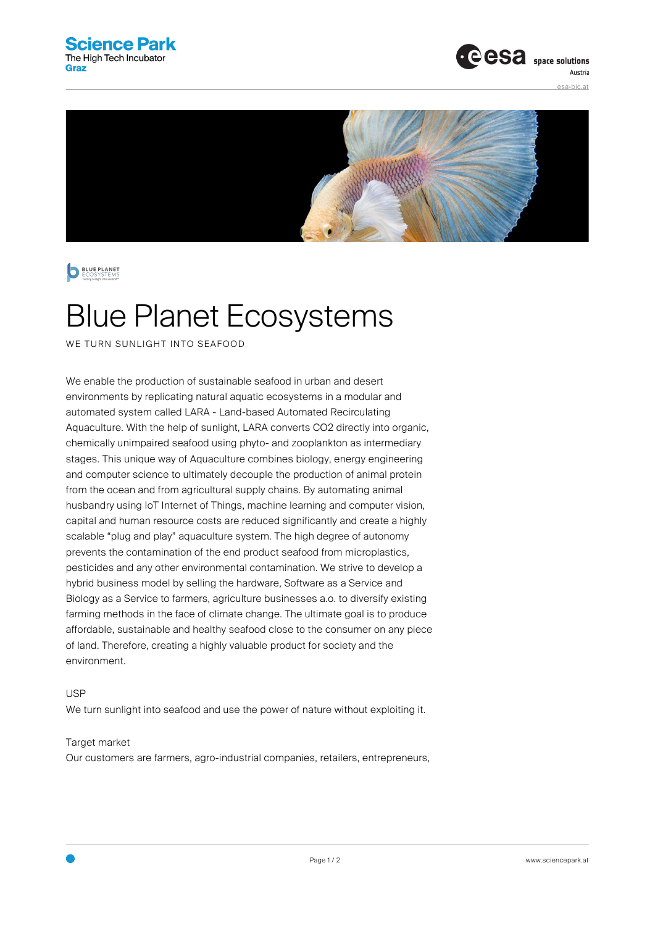





## Blue Planet Ecosystems

WE TURN SUNLIGHT INTO SEAFOOD

We enable the production of sustainable seafood in urban and desert environments by replicating natural aquatic ecosystems in a modular and automated system called LARA - Land-based Automated Recirculating Aquaculture. With the help of sunlight, LARA converts CO2 directly into organic, chemically unimpaired seafood using phyto- and zooplankton as intermediary stages. This unique way of Aquaculture combines biology, energy engineering and computer science to ultimately decouple the production of animal protein from the ocean and from agricultural supply chains. By automating animal husbandry using IoT Internet of Things, machine learning and computer vision, capital and human resource costs are reduced significantly and create a highly scalable "plug and play" aquaculture system. The high degree of autonomy prevents the contamination of the end product seafood from microplastics, pesticides and any other environmental contamination. We strive to develop a hybrid business model by selling the hardware, Software as a Service and Biology as a Service to farmers, agriculture businesses a.o. to diversify existing farming methods in the face of climate change. The ultimate goal is to produce affordable, sustainable and healthy seafood close to the consumer on any piece of land. Therefore, creating a highly valuable product for society and the environment.

USP

We turn sunlight into seafood and use the power of nature without exploiting it.

Target market

Our customers are farmers, agro-industrial companies, retailers, entrepreneurs,